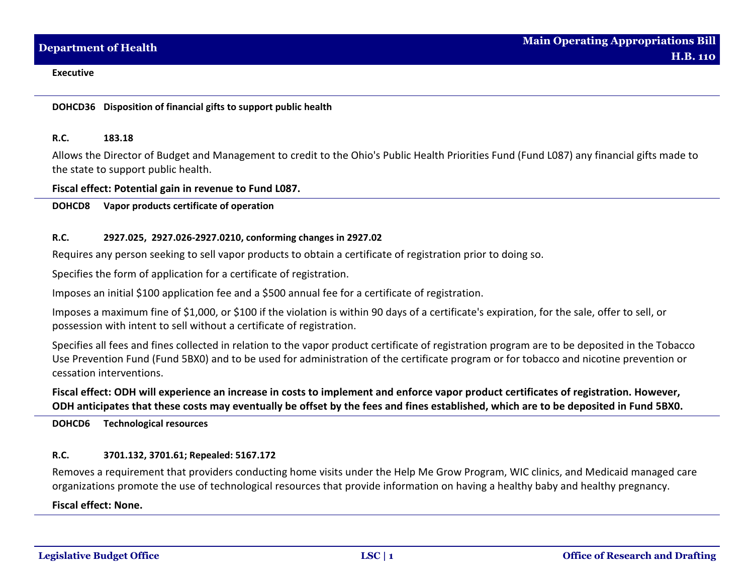# **DOHCD36 Disposition of financial gifts to support public health**

## **R.C. 183.18**

Allows the Director of Budget and Management to credit to the Ohio's Public Health Priorities Fund (Fund L087) any financial gifts made to the state to support public health.

## **Fiscal effect: Potential gain in revenue to Fund L087.**

**DOHCD8 Vapor products certificate of operation**

## **R.C. 2927.025, 2927.026-2927.0210, conforming changes in 2927.02**

Requires any person seeking to sell vapor products to obtain a certificate of registration prior to doing so.

Specifies the form of application for a certificate of registration.

Imposes an initial \$100 application fee and a \$500 annual fee for a certificate of registration.

Imposes a maximum fine of \$1,000, or \$100 if the violation is within 90 days of a certificate's expiration, for the sale, offer to sell, or possession with intent to sell without a certificate of registration.

Specifies all fees and fines collected in relation to the vapor product certificate of registration program are to be deposited in the Tobacco Use Prevention Fund (Fund 5BX0) and to be used for administration of the certificate program or for tobacco and nicotine prevention or cessation interventions.

# **Fiscal effect: ODH will experience an increase in costs to implement and enforce vapor product certificates of registration. However, ODH anticipates that these costs may eventually be offset by the fees and fines established, which are to be deposited in Fund 5BX0.**

**DOHCD6 Technological resources**

## **R.C. 3701.132, 3701.61; Repealed: 5167.172**

Removes a requirement that providers conducting home visits under the Help Me Grow Program, WIC clinics, and Medicaid managed care organizations promote the use of technological resources that provide information on having a healthy baby and healthy pregnancy.

# **Fiscal effect: None.**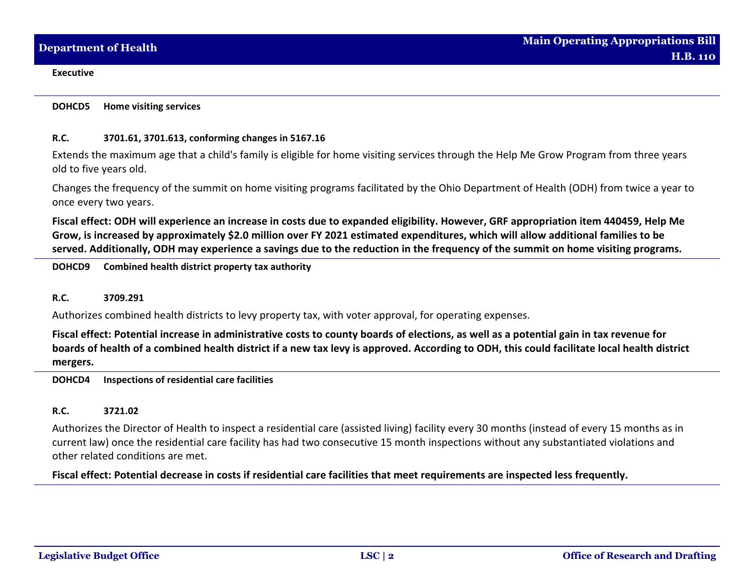**DOHCD5 Home visiting services**

## **R.C. 3701.61, 3701.613, conforming changes in 5167.16**

Extends the maximum age that a child's family is eligible for home visiting services through the Help Me Grow Program from three years old to five years old.

Changes the frequency of the summit on home visiting programs facilitated by the Ohio Department of Health (ODH) from twice a year to once every two years.

**Fiscal effect: ODH will experience an increase in costs due to expanded eligibility. However, GRF appropriation item 440459, Help Me Grow, is increased by approximately \$2.0 million over FY 2021 estimated expenditures, which will allow additional families to be served. Additionally, ODH may experience a savings due to the reduction in the frequency of the summit on home visiting programs.**

**DOHCD9 Combined health district property tax authority**

## **R.C. 3709.291**

Authorizes combined health districts to levy property tax, with voter approval, for operating expenses.

**Fiscal effect: Potential increase in administrative costs to county boards of elections, as well as a potential gain in tax revenue for boards of health of a combined health district if a new tax levy is approved. According to ODH, this could facilitate local health district mergers.**

**DOHCD4 Inspections of residential care facilities**

# **R.C. 3721.02**

Authorizes the Director of Health to inspect a residential care (assisted living) facility every 30 months (instead of every 15 months as in current law) once the residential care facility has had two consecutive 15 month inspections without any substantiated violations and other related conditions are met.

**Fiscal effect: Potential decrease in costs if residential care facilities that meet requirements are inspected less frequently.**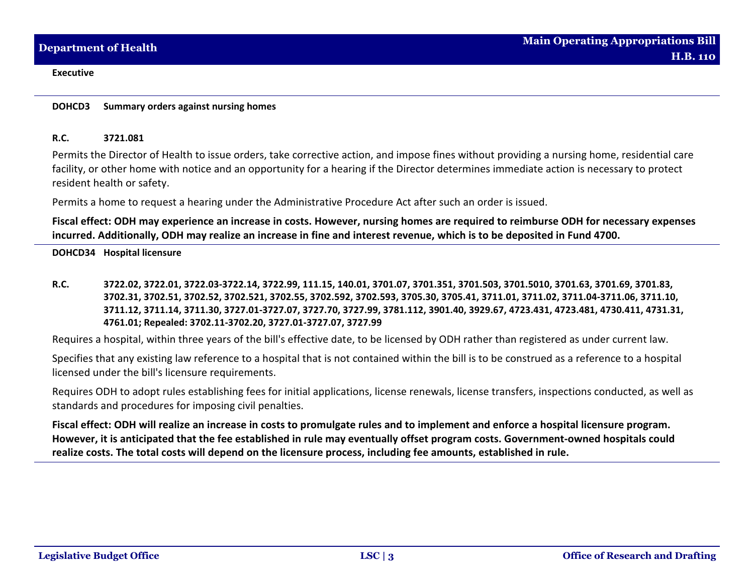**DOHCD3 Summary orders against nursing homes**

### **R.C. 3721.081**

Permits the Director of Health to issue orders, take corrective action, and impose fines without providing a nursing home, residential care facility, or other home with notice and an opportunity for a hearing if the Director determines immediate action is necessary to protect resident health or safety.

Permits a home to request a hearing under the Administrative Procedure Act after such an order is issued.

**Fiscal effect: ODH may experience an increase in costs. However, nursing homes are required to reimburse ODH for necessary expenses incurred. Additionally, ODH may realize an increase in fine and interest revenue, which is to be deposited in Fund 4700.**

**DOHCD34 Hospital licensure**

**R.C. 3722.02, 3722.01, 3722.03-3722.14, 3722.99, 111.15, 140.01, 3701.07, 3701.351, 3701.503, 3701.5010, 3701.63, 3701.69, 3701.83, 3702.31, 3702.51, 3702.52, 3702.521, 3702.55, 3702.592, 3702.593, 3705.30, 3705.41, 3711.01, 3711.02, 3711.04-3711.06, 3711.10, 3711.12, 3711.14, 3711.30, 3727.01-3727.07, 3727.70, 3727.99, 3781.112, 3901.40, 3929.67, 4723.431, 4723.481, 4730.411, 4731.31, 4761.01; Repealed: 3702.11-3702.20, 3727.01-3727.07, 3727.99**

Requires a hospital, within three years of the bill's effective date, to be licensed by ODH rather than registered as under current law.

Specifies that any existing law reference to a hospital that is not contained within the bill is to be construed as a reference to a hospital licensed under the bill's licensure requirements.

Requires ODH to adopt rules establishing fees for initial applications, license renewals, license transfers, inspections conducted, as well as standards and procedures for imposing civil penalties.

**Fiscal effect: ODH will realize an increase in costs to promulgate rules and to implement and enforce a hospital licensure program. However, it is anticipated that the fee established in rule may eventually offset program costs. Government-owned hospitals could realize costs. The total costs will depend on the licensure process, including fee amounts, established in rule.**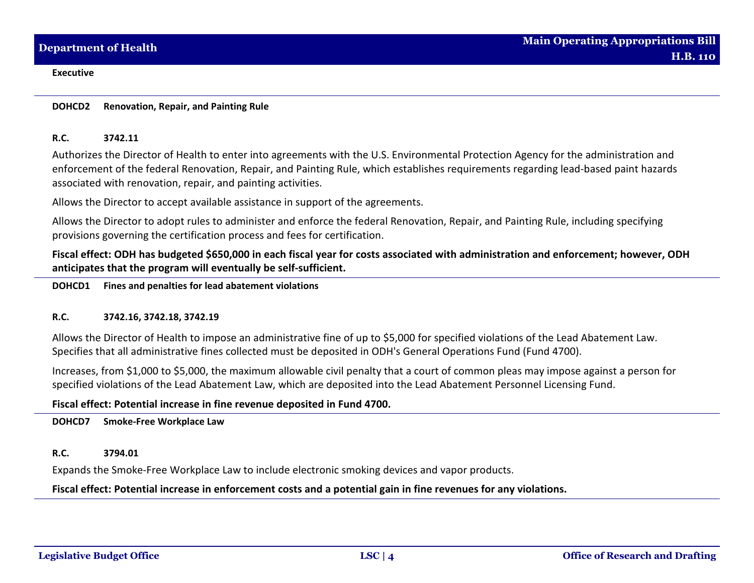**DOHCD2 Renovation, Repair, and Painting Rule**

## **R.C. 3742.11**

Authorizes the Director of Health to enter into agreements with the U.S. Environmental Protection Agency for the administration and enforcement of the federal Renovation, Repair, and Painting Rule, which establishes requirements regarding lead-based paint hazards associated with renovation, repair, and painting activities.

Allows the Director to accept available assistance in support of the agreements.

Allows the Director to adopt rules to administer and enforce the federal Renovation, Repair, and Painting Rule, including specifying provisions governing the certification process and fees for certification.

**Fiscal effect: ODH has budgeted \$650,000 in each fiscal year for costs associated with administration and enforcement; however, ODH anticipates that the program will eventually be self-sufficient.**

**DOHCD1 Fines and penalties for lead abatement violations**

## **R.C. 3742.16, 3742.18, 3742.19**

Allows the Director of Health to impose an administrative fine of up to \$5,000 for specified violations of the Lead Abatement Law. Specifies that all administrative fines collected must be deposited in ODH's General Operations Fund (Fund 4700).

Increases, from \$1,000 to \$5,000, the maximum allowable civil penalty that a court of common pleas may impose against a person for specified violations of the Lead Abatement Law, which are deposited into the Lead Abatement Personnel Licensing Fund.

# **Fiscal effect: Potential increase in fine revenue deposited in Fund 4700.**

**DOHCD7 Smoke-Free Workplace Law**

# **R.C. 3794.01**

Expands the Smoke-Free Workplace Law to include electronic smoking devices and vapor products.

# **Fiscal effect: Potential increase in enforcement costs and a potential gain in fine revenues for any violations.**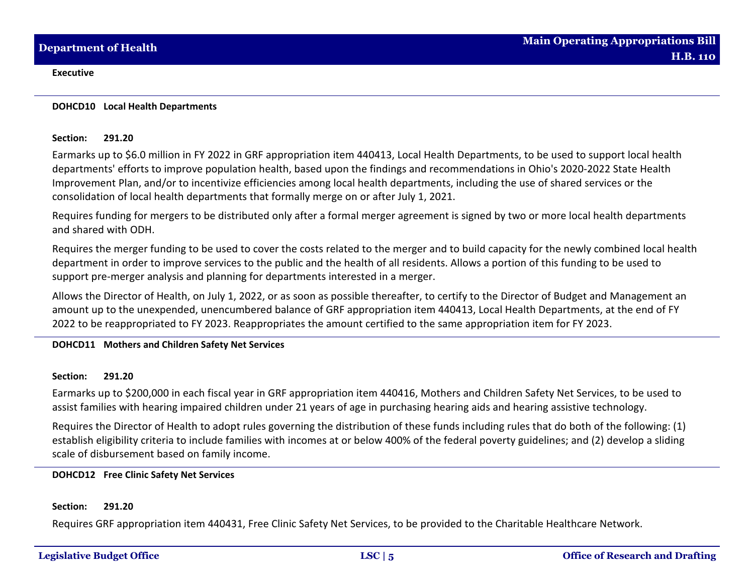### **DOHCD10 Local Health Departments**

## **Section: 291.20**

Earmarks up to \$6.0 million in FY 2022 in GRF appropriation item 440413, Local Health Departments, to be used to support local health departments' efforts to improve population health, based upon the findings and recommendations in Ohio's 2020-2022 State Health Improvement Plan, and/or to incentivize efficiencies among local health departments, including the use of shared services or the consolidation of local health departments that formally merge on or after July 1, 2021.

Requires funding for mergers to be distributed only after a formal merger agreement is signed by two or more local health departments and shared with ODH.

Requires the merger funding to be used to cover the costs related to the merger and to build capacity for the newly combined local health department in order to improve services to the public and the health of all residents. Allows a portion of this funding to be used to support pre-merger analysis and planning for departments interested in a merger.

Allows the Director of Health, on July 1, 2022, or as soon as possible thereafter, to certify to the Director of Budget and Management an amount up to the unexpended, unencumbered balance of GRF appropriation item 440413, Local Health Departments, at the end of FY 2022 to be reappropriated to FY 2023. Reappropriates the amount certified to the same appropriation item for FY 2023.

# **DOHCD11 Mothers and Children Safety Net Services**

## **Section: 291.20**

Earmarks up to \$200,000 in each fiscal year in GRF appropriation item 440416, Mothers and Children Safety Net Services, to be used to assist families with hearing impaired children under 21 years of age in purchasing hearing aids and hearing assistive technology.

Requires the Director of Health to adopt rules governing the distribution of these funds including rules that do both of the following: (1) establish eligibility criteria to include families with incomes at or below 400% of the federal poverty guidelines; and (2) develop a sliding scale of disbursement based on family income.

# **DOHCD12 Free Clinic Safety Net Services**

## **Section: 291.20**

Requires GRF appropriation item 440431, Free Clinic Safety Net Services, to be provided to the Charitable Healthcare Network.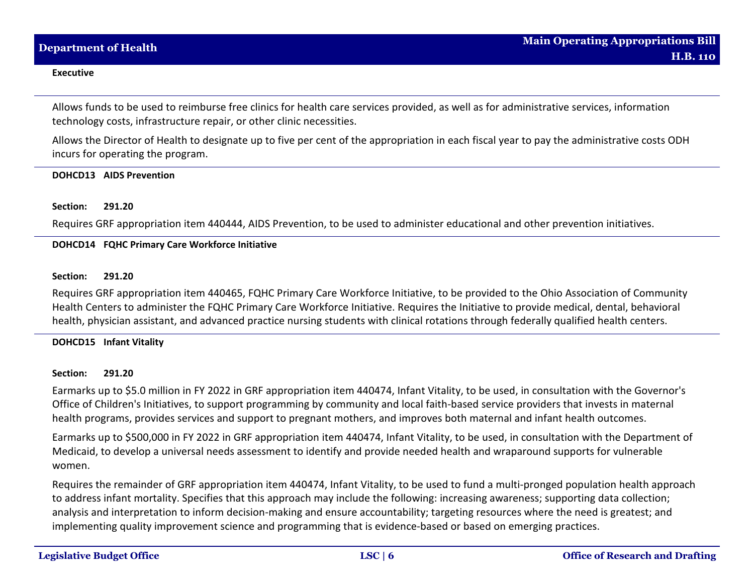Allows funds to be used to reimburse free clinics for health care services provided, as well as for administrative services, information technology costs, infrastructure repair, or other clinic necessities.

Allows the Director of Health to designate up to five per cent of the appropriation in each fiscal year to pay the administrative costs ODH incurs for operating the program.

## **DOHCD13 AIDS Prevention**

## **Section: 291.20**

Requires GRF appropriation item 440444, AIDS Prevention, to be used to administer educational and other prevention initiatives.

## **DOHCD14 FQHC Primary Care Workforce Initiative**

## **Section: 291.20**

Requires GRF appropriation item 440465, FQHC Primary Care Workforce Initiative, to be provided to the Ohio Association of Community Health Centers to administer the FQHC Primary Care Workforce Initiative. Requires the Initiative to provide medical, dental, behavioral health, physician assistant, and advanced practice nursing students with clinical rotations through federally qualified health centers.

## **DOHCD15 Infant Vitality**

## **Section: 291.20**

Earmarks up to \$5.0 million in FY 2022 in GRF appropriation item 440474, Infant Vitality, to be used, in consultation with the Governor's Office of Children's Initiatives, to support programming by community and local faith-based service providers that invests in maternal health programs, provides services and support to pregnant mothers, and improves both maternal and infant health outcomes.

Earmarks up to \$500,000 in FY 2022 in GRF appropriation item 440474, Infant Vitality, to be used, in consultation with the Department of Medicaid, to develop a universal needs assessment to identify and provide needed health and wraparound supports for vulnerable women.

Requires the remainder of GRF appropriation item 440474, Infant Vitality, to be used to fund a multi-pronged population health approach to address infant mortality. Specifies that this approach may include the following: increasing awareness; supporting data collection; analysis and interpretation to inform decision-making and ensure accountability; targeting resources where the need is greatest; and implementing quality improvement science and programming that is evidence-based or based on emerging practices.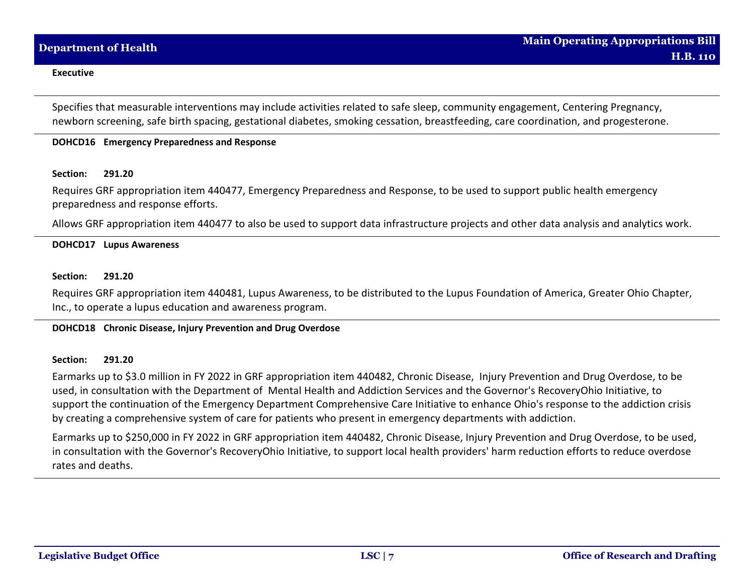Specifies that measurable interventions may include activities related to safe sleep, community engagement, Centering Pregnancy, newborn screening, safe birth spacing, gestational diabetes, smoking cessation, breastfeeding, care coordination, and progesterone.

## **DOHCD16 Emergency Preparedness and Response**

#### **Section: 291.20**

Requires GRF appropriation item 440477, Emergency Preparedness and Response, to be used to support public health emergency preparedness and response efforts.

Allows GRF appropriation item 440477 to also be used to support data infrastructure projects and other data analysis and analytics work.

## **DOHCD17 Lupus Awareness**

### **Section: 291.20**

Requires GRF appropriation item 440481, Lupus Awareness, to be distributed to the Lupus Foundation of America, Greater Ohio Chapter, Inc., to operate a lupus education and awareness program.

### **DOHCD18 Chronic Disease, Injury Prevention and Drug Overdose**

#### **Section: 291.20**

Earmarks up to \$3.0 million in FY 2022 in GRF appropriation item 440482, Chronic Disease, Injury Prevention and Drug Overdose, to be used, in consultation with the Department of Mental Health and Addiction Services and the Governor's RecoveryOhio Initiative, to support the continuation of the Emergency Department Comprehensive Care Initiative to enhance Ohio's response to the addiction crisis by creating a comprehensive system of care for patients who present in emergency departments with addiction.

Earmarks up to \$250,000 in FY 2022 in GRF appropriation item 440482, Chronic Disease, Injury Prevention and Drug Overdose, to be used, in consultation with the Governor's RecoveryOhio Initiative, to support local health providers' harm reduction efforts to reduce overdose rates and deaths.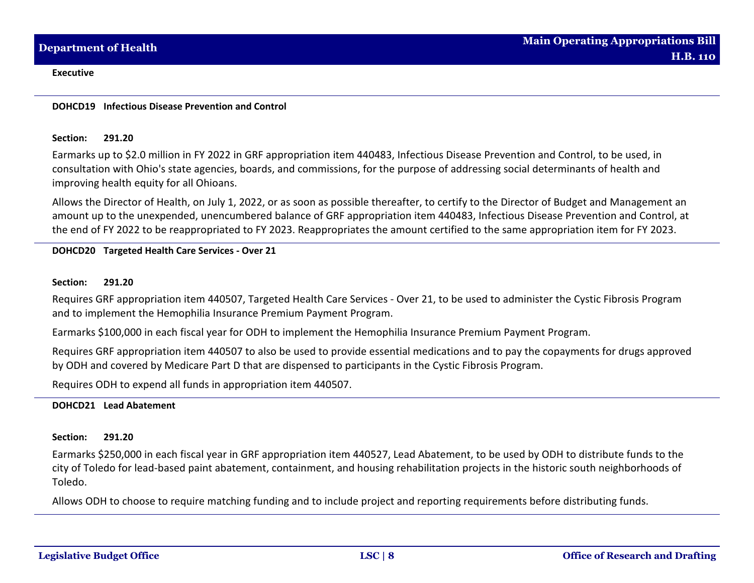### **DOHCD19 Infectious Disease Prevention and Control**

### **Section: 291.20**

Earmarks up to \$2.0 million in FY 2022 in GRF appropriation item 440483, Infectious Disease Prevention and Control, to be used, in consultation with Ohio's state agencies, boards, and commissions, for the purpose of addressing social determinants of health and improving health equity for all Ohioans.

Allows the Director of Health, on July 1, 2022, or as soon as possible thereafter, to certify to the Director of Budget and Management an amount up to the unexpended, unencumbered balance of GRF appropriation item 440483, Infectious Disease Prevention and Control, at the end of FY 2022 to be reappropriated to FY 2023. Reappropriates the amount certified to the same appropriation item for FY 2023.

# **DOHCD20 Targeted Health Care Services - Over 21**

## **Section: 291.20**

Requires GRF appropriation item 440507, Targeted Health Care Services - Over 21, to be used to administer the Cystic Fibrosis Program and to implement the Hemophilia Insurance Premium Payment Program.

Earmarks \$100,000 in each fiscal year for ODH to implement the Hemophilia Insurance Premium Payment Program.

Requires GRF appropriation item 440507 to also be used to provide essential medications and to pay the copayments for drugs approved by ODH and covered by Medicare Part D that are dispensed to participants in the Cystic Fibrosis Program.

Requires ODH to expend all funds in appropriation item 440507.

## **DOHCD21 Lead Abatement**

## **Section: 291.20**

Earmarks \$250,000 in each fiscal year in GRF appropriation item 440527, Lead Abatement, to be used by ODH to distribute funds to the city of Toledo for lead-based paint abatement, containment, and housing rehabilitation projects in the historic south neighborhoods of Toledo.

Allows ODH to choose to require matching funding and to include project and reporting requirements before distributing funds.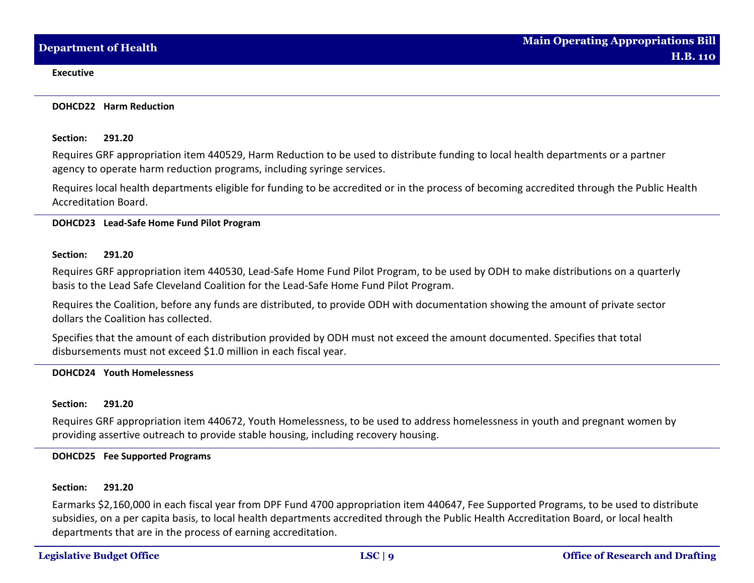#### **DOHCD22 Harm Reduction**

## **Section: 291.20**

Requires GRF appropriation item 440529, Harm Reduction to be used to distribute funding to local health departments or a partner agency to operate harm reduction programs, including syringe services.

Requires local health departments eligible for funding to be accredited or in the process of becoming accredited through the Public Health Accreditation Board.

## **DOHCD23 Lead-Safe Home Fund Pilot Program**

## **Section: 291.20**

Requires GRF appropriation item 440530, Lead-Safe Home Fund Pilot Program, to be used by ODH to make distributions on a quarterly basis to the Lead Safe Cleveland Coalition for the Lead-Safe Home Fund Pilot Program.

Requires the Coalition, before any funds are distributed, to provide ODH with documentation showing the amount of private sector dollars the Coalition has collected.

Specifies that the amount of each distribution provided by ODH must not exceed the amount documented. Specifies that total disbursements must not exceed \$1.0 million in each fiscal year.

## **DOHCD24 Youth Homelessness**

## **Section: 291.20**

Requires GRF appropriation item 440672, Youth Homelessness, to be used to address homelessness in youth and pregnant women by providing assertive outreach to provide stable housing, including recovery housing.

## **DOHCD25 Fee Supported Programs**

## **Section: 291.20**

Earmarks \$2,160,000 in each fiscal year from DPF Fund 4700 appropriation item 440647, Fee Supported Programs, to be used to distribute subsidies, on a per capita basis, to local health departments accredited through the Public Health Accreditation Board, or local health departments that are in the process of earning accreditation.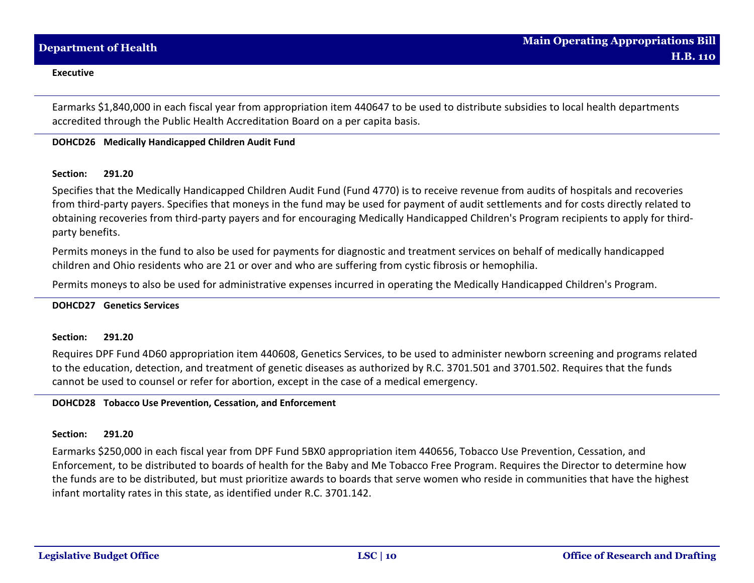Earmarks \$1,840,000 in each fiscal year from appropriation item 440647 to be used to distribute subsidies to local health departments accredited through the Public Health Accreditation Board on a per capita basis.

## **DOHCD26 Medically Handicapped Children Audit Fund**

## **Section: 291.20**

Specifies that the Medically Handicapped Children Audit Fund (Fund 4770) is to receive revenue from audits of hospitals and recoveries from third-party payers. Specifies that moneys in the fund may be used for payment of audit settlements and for costs directly related to obtaining recoveries from third-party payers and for encouraging Medically Handicapped Children's Program recipients to apply for thirdparty benefits.

Permits moneys in the fund to also be used for payments for diagnostic and treatment services on behalf of medically handicapped children and Ohio residents who are 21 or over and who are suffering from cystic fibrosis or hemophilia.

Permits moneys to also be used for administrative expenses incurred in operating the Medically Handicapped Children's Program.

#### **DOHCD27 Genetics Services**

#### **Section: 291.20**

Requires DPF Fund 4D60 appropriation item 440608, Genetics Services, to be used to administer newborn screening and programs related to the education, detection, and treatment of genetic diseases as authorized by R.C. 3701.501 and 3701.502. Requires that the funds cannot be used to counsel or refer for abortion, except in the case of a medical emergency.

# **DOHCD28 Tobacco Use Prevention, Cessation, and Enforcement**

#### **Section: 291.20**

Earmarks \$250,000 in each fiscal year from DPF Fund 5BX0 appropriation item 440656, Tobacco Use Prevention, Cessation, and Enforcement, to be distributed to boards of health for the Baby and Me Tobacco Free Program. Requires the Director to determine how the funds are to be distributed, but must prioritize awards to boards that serve women who reside in communities that have the highest infant mortality rates in this state, as identified under R.C. 3701.142.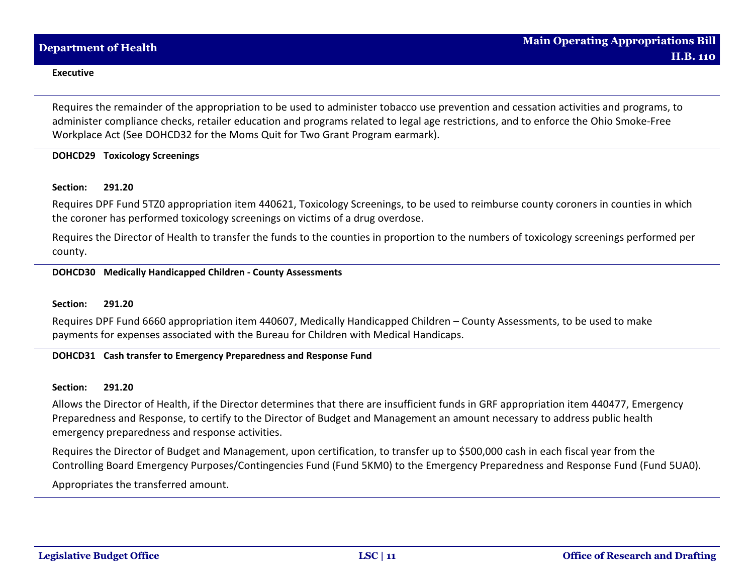Requires the remainder of the appropriation to be used to administer tobacco use prevention and cessation activities and programs, to administer compliance checks, retailer education and programs related to legal age restrictions, and to enforce the Ohio Smoke-Free Workplace Act (See DOHCD32 for the Moms Quit for Two Grant Program earmark).

# **DOHCD29 Toxicology Screenings**

## **Section: 291.20**

Requires DPF Fund 5TZ0 appropriation item 440621, Toxicology Screenings, to be used to reimburse county coroners in counties in which the coroner has performed toxicology screenings on victims of a drug overdose.

Requires the Director of Health to transfer the funds to the counties in proportion to the numbers of toxicology screenings performed per county.

# **DOHCD30 Medically Handicapped Children - County Assessments**

#### **Section: 291.20**

Requires DPF Fund 6660 appropriation item 440607, Medically Handicapped Children – County Assessments, to be used to make payments for expenses associated with the Bureau for Children with Medical Handicaps.

## **DOHCD31 Cash transfer to Emergency Preparedness and Response Fund**

#### **Section: 291.20**

Allows the Director of Health, if the Director determines that there are insufficient funds in GRF appropriation item 440477, Emergency Preparedness and Response, to certify to the Director of Budget and Management an amount necessary to address public health emergency preparedness and response activities.

Requires the Director of Budget and Management, upon certification, to transfer up to \$500,000 cash in each fiscal year from the Controlling Board Emergency Purposes/Contingencies Fund (Fund 5KM0) to the Emergency Preparedness and Response Fund (Fund 5UA0). Appropriates the transferred amount.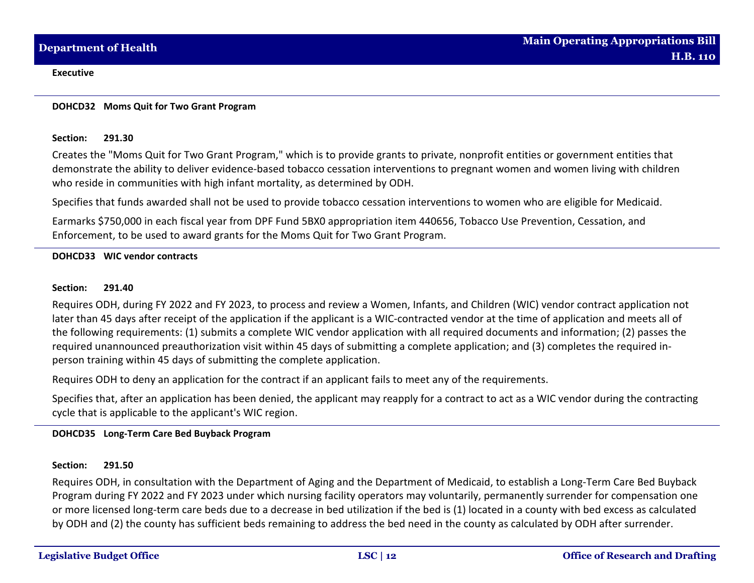### **DOHCD32 Moms Quit for Two Grant Program**

### **Section: 291.30**

Creates the "Moms Quit for Two Grant Program," which is to provide grants to private, nonprofit entities or government entities that demonstrate the ability to deliver evidence-based tobacco cessation interventions to pregnant women and women living with children who reside in communities with high infant mortality, as determined by ODH.

Specifies that funds awarded shall not be used to provide tobacco cessation interventions to women who are eligible for Medicaid.

Earmarks \$750,000 in each fiscal year from DPF Fund 5BX0 appropriation item 440656, Tobacco Use Prevention, Cessation, and Enforcement, to be used to award grants for the Moms Quit for Two Grant Program.

## **DOHCD33 WIC vendor contracts**

## **Section: 291.40**

Requires ODH, during FY 2022 and FY 2023, to process and review a Women, Infants, and Children (WIC) vendor contract application not later than 45 days after receipt of the application if the applicant is a WIC-contracted vendor at the time of application and meets all of the following requirements: (1) submits a complete WIC vendor application with all required documents and information; (2) passes the required unannounced preauthorization visit within 45 days of submitting a complete application; and (3) completes the required inperson training within 45 days of submitting the complete application.

Requires ODH to deny an application for the contract if an applicant fails to meet any of the requirements.

Specifies that, after an application has been denied, the applicant may reapply for a contract to act as a WIC vendor during the contracting cycle that is applicable to the applicant's WIC region.

# **DOHCD35 Long-Term Care Bed Buyback Program**

## **Section: 291.50**

Requires ODH, in consultation with the Department of Aging and the Department of Medicaid, to establish a Long-Term Care Bed Buyback Program during FY 2022 and FY 2023 under which nursing facility operators may voluntarily, permanently surrender for compensation one or more licensed long-term care beds due to a decrease in bed utilization if the bed is (1) located in a county with bed excess as calculated by ODH and (2) the county has sufficient beds remaining to address the bed need in the county as calculated by ODH after surrender.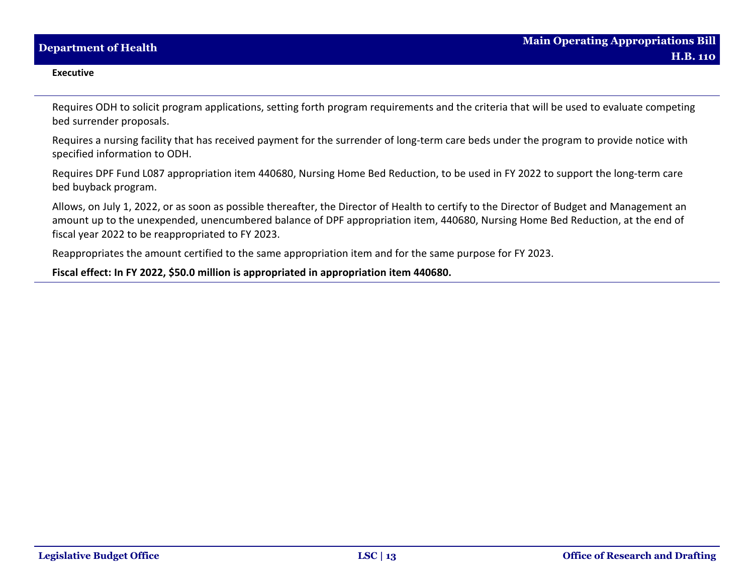Requires ODH to solicit program applications, setting forth program requirements and the criteria that will be used to evaluate competing bed surrender proposals.

Requires a nursing facility that has received payment for the surrender of long-term care beds under the program to provide notice with specified information to ODH.

Requires DPF Fund L087 appropriation item 440680, Nursing Home Bed Reduction, to be used in FY 2022 to support the long-term care bed buyback program.

Allows, on July 1, 2022, or as soon as possible thereafter, the Director of Health to certify to the Director of Budget and Management an amount up to the unexpended, unencumbered balance of DPF appropriation item, 440680, Nursing Home Bed Reduction, at the end of fiscal year 2022 to be reappropriated to FY 2023.

Reappropriates the amount certified to the same appropriation item and for the same purpose for FY 2023.

**Fiscal effect: In FY 2022, \$50.0 million is appropriated in appropriation item 440680.**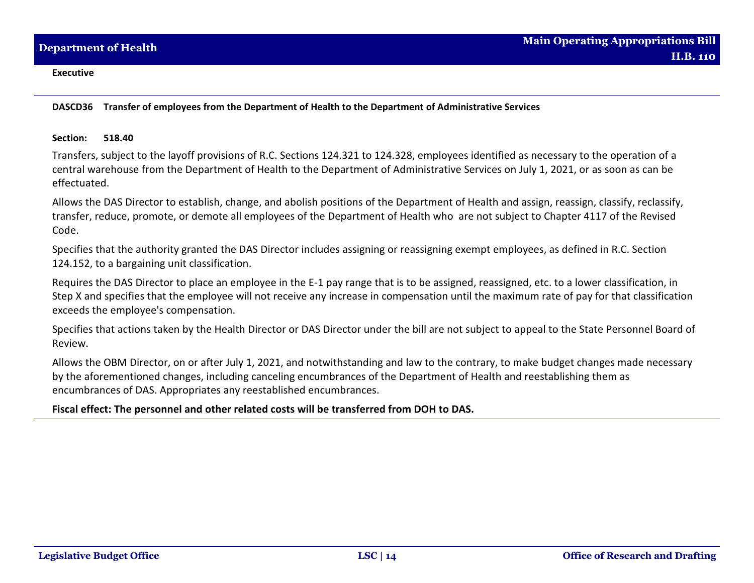**DASCD36 Transfer of employees from the Department of Health to the Department of Administrative Services**

## **Section: 518.40**

Transfers, subject to the layoff provisions of R.C. Sections 124.321 to 124.328, employees identified as necessary to the operation of a central warehouse from the Department of Health to the Department of Administrative Services on July 1, 2021, or as soon as can be effectuated.

Allows the DAS Director to establish, change, and abolish positions of the Department of Health and assign, reassign, classify, reclassify, transfer, reduce, promote, or demote all employees of the Department of Health who are not subject to Chapter 4117 of the Revised Code.

Specifies that the authority granted the DAS Director includes assigning or reassigning exempt employees, as defined in R.C. Section 124.152, to a bargaining unit classification.

Requires the DAS Director to place an employee in the E-1 pay range that is to be assigned, reassigned, etc. to a lower classification, in Step X and specifies that the employee will not receive any increase in compensation until the maximum rate of pay for that classification exceeds the employee's compensation.

Specifies that actions taken by the Health Director or DAS Director under the bill are not subject to appeal to the State Personnel Board of Review.

Allows the OBM Director, on or after July 1, 2021, and notwithstanding and law to the contrary, to make budget changes made necessary by the aforementioned changes, including canceling encumbrances of the Department of Health and reestablishing them as encumbrances of DAS. Appropriates any reestablished encumbrances.

# **Fiscal effect: The personnel and other related costs will be transferred from DOH to DAS.**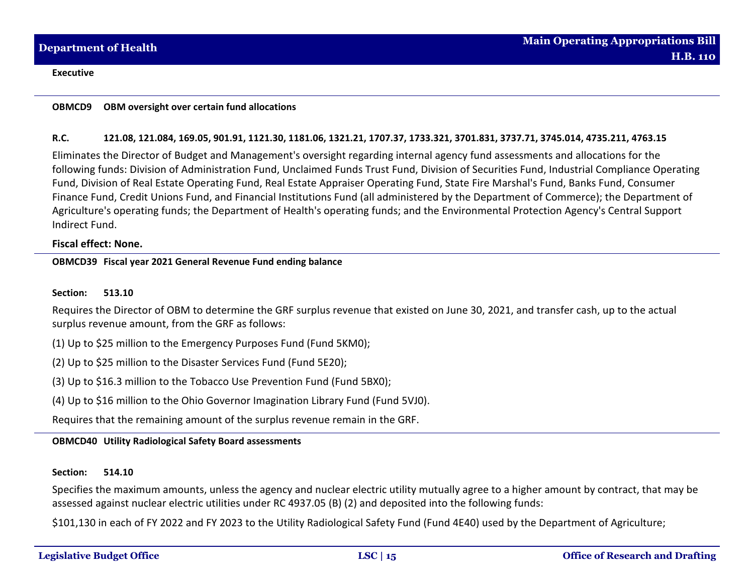## **OBMCD9 OBM oversight over certain fund allocations**

## **R.C. 121.08, 121.084, 169.05, 901.91, 1121.30, 1181.06, 1321.21, 1707.37, 1733.321, 3701.831, 3737.71, 3745.014, 4735.211, 4763.15**

Eliminates the Director of Budget and Management's oversight regarding internal agency fund assessments and allocations for the following funds: Division of Administration Fund, Unclaimed Funds Trust Fund, Division of Securities Fund, Industrial Compliance Operating Fund, Division of Real Estate Operating Fund, Real Estate Appraiser Operating Fund, State Fire Marshal's Fund, Banks Fund, Consumer Finance Fund, Credit Unions Fund, and Financial Institutions Fund (all administered by the Department of Commerce); the Department of Agriculture's operating funds; the Department of Health's operating funds; and the Environmental Protection Agency's Central Support Indirect Fund.

## **Fiscal effect: None.**

## **OBMCD39 Fiscal year 2021 General Revenue Fund ending balance**

### **Section: 513.10**

Requires the Director of OBM to determine the GRF surplus revenue that existed on June 30, 2021, and transfer cash, up to the actual surplus revenue amount, from the GRF as follows:

(1) Up to \$25 million to the Emergency Purposes Fund (Fund 5KM0);

(2) Up to \$25 million to the Disaster Services Fund (Fund 5E20);

(3) Up to \$16.3 million to the Tobacco Use Prevention Fund (Fund 5BX0);

(4) Up to \$16 million to the Ohio Governor Imagination Library Fund (Fund 5VJ0).

Requires that the remaining amount of the surplus revenue remain in the GRF.

## **OBMCD40 Utility Radiological Safety Board assessments**

#### **Section: 514.10**

Specifies the maximum amounts, unless the agency and nuclear electric utility mutually agree to a higher amount by contract, that may be assessed against nuclear electric utilities under RC 4937.05 (B) (2) and deposited into the following funds:

\$101,130 in each of FY 2022 and FY 2023 to the Utility Radiological Safety Fund (Fund 4E40) used by the Department of Agriculture;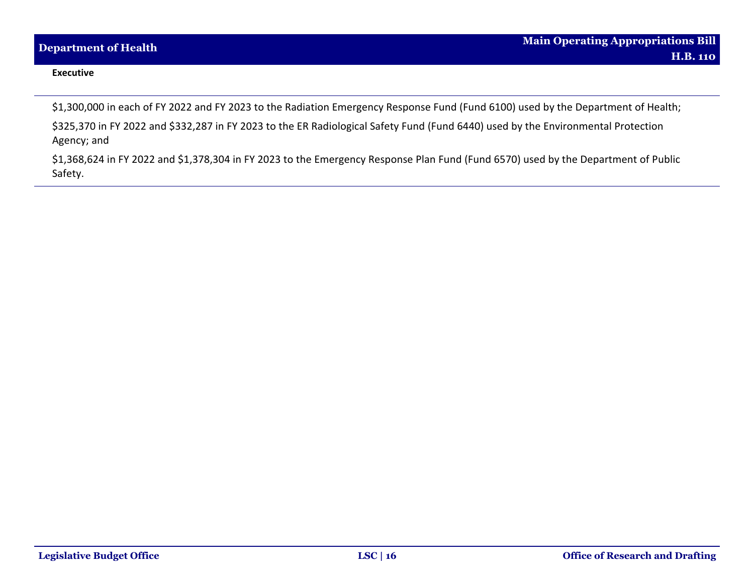\$1,300,000 in each of FY 2022 and FY 2023 to the Radiation Emergency Response Fund (Fund 6100) used by the Department of Health;

\$325,370 in FY 2022 and \$332,287 in FY 2023 to the ER Radiological Safety Fund (Fund 6440) used by the Environmental Protection Agency; and

\$1,368,624 in FY 2022 and \$1,378,304 in FY 2023 to the Emergency Response Plan Fund (Fund 6570) used by the Department of Public Safety.